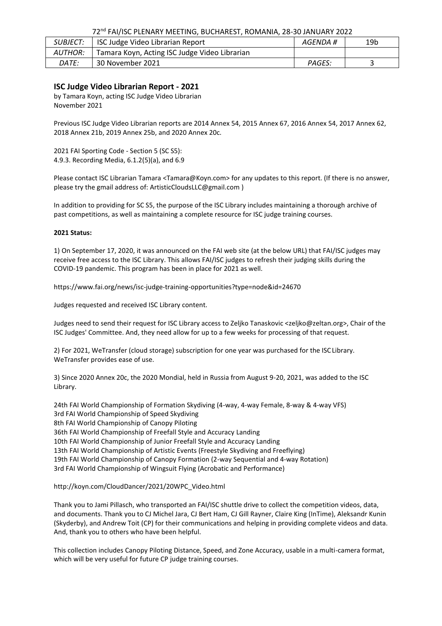# 72nd FAI/ISC PLENARY MEETING, BUCHAREST, ROMANIA, 28-30 JANUARY 2022

| <i>SUBJECT:</i> | ISC Judge Video Librarian Report              | AGENDA # | 19 <sub>b</sub> |
|-----------------|-----------------------------------------------|----------|-----------------|
| <i>AUTHOR:</i>  | Tamara Koyn, Acting ISC Judge Video Librarian |          |                 |
| <i>DATE:</i>    | 30 November 2021                              | PAGES:   |                 |

# **ISC Judge Video Librarian Report - 2021**

by Tamara Koyn, acting ISC Judge Video Librarian November 2021

Previous ISC Judge Video Librarian reports are 2014 Annex 54, 2015 Annex 67, 2016 Annex 54, 2017 Annex 62, 2018 Annex 21b, 2019 Annex 25b, and 2020 Annex 20c.

2021 FAI Sporting Code - Section 5 (SC S5): 4.9.3. Recording Media, 6.1.2(5)(a), and 6.9

Please contact ISC Librarian Tamara [<Tamara@Koyn.com>](mailto:Tamara@Koyn.com) for any updates to this report. (If there is no answer, please try the gmail address of: [ArtisticCloudsLLC@gmail.com \)](mailto:ArtisticCloudsLLC@gmail.com)

In addition to providing for SC S5, the purpose of the ISC Library includes maintaining a thorough archive of past competitions, as well as maintaining a complete resource for ISC judge training courses.

## **2021 Status:**

1) On September 17, 2020, it was announced on the FAI web site (at the below URL) that FAI/ISC judges may receive free access to the ISC Library. This allows FAI/ISC judges to refresh their judging skills during the COVID-19 pandemic. This program has been in place for 2021 as well.

https:/[/www.fai.org/news/isc-judge-training-opportunities?type=node&id=24670](http://www.fai.org/news/isc-judge-training-opportunities?type=node&id=24670)

Judges requested and received ISC Library content.

Judges need to send their request for ISC Library access to Zeljko Tanaskovic [<zeljko@zeltan.org>](mailto:zeljko@zeltan.org), Chair of the ISC Judges' Committee. And, they need allow for up to a few weeks for processing of that request.

2) For 2021, WeTransfer (cloud storage) subscription for one year was purchased for the ISC Library. WeTransfer provides ease of use.

3) Since 2020 Annex 20c, the 2020 Mondial, held in Russia from August 9-20, 2021, was added to the ISC Library.

24th FAI World Championship of Formation Skydiving (4-way, 4-way Female, 8-way & 4-way VFS) 3rd FAI World Championship of Speed Skydiving 8th FAI World Championship of Canopy Piloting 36th FAI World Championship of Freefall Style and Accuracy Landing 10th FAI World Championship of Junior Freefall Style and Accuracy Landing 13th FAI World Championship of Artistic Events (Freestyle Skydiving and Freeflying) 19th FAI World Championship of Canopy Formation (2-way Sequential and 4-way Rotation) 3rd FAI World Championship of Wingsuit Flying (Acrobatic and Performance)

## [http://koyn.com/CloudDancer/2021/20WPC\\_Video.html](http://koyn.com/CloudDancer/2021/20WPC_Video.html)

Thank you to Jami Pillasch, who transported an FAI/ISC shuttle drive to collect the competition videos, data, and documents. Thank you to CJ Michel Jara, CJ Bert Ham, CJ Gill Rayner, Claire King (InTime), Aleksandr Kunin (Skyderby), and Andrew Toit (CP) for their communications and helping in providing complete videos and data. And, thank you to others who have been helpful.

This collection includes Canopy Piloting Distance, Speed, and Zone Accuracy, usable in a multi-camera format, which will be very useful for future CP judge training courses.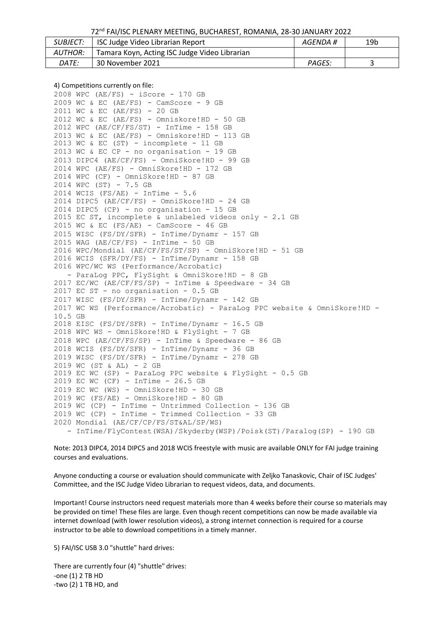72nd FAI/ISC PLENARY MEETING, BUCHAREST, ROMANIA, 28-30 JANUARY 2022

| <i>SUBJECT:</i> | ISC Judge Video Librarian Report              | AGENDA #      | 19b |
|-----------------|-----------------------------------------------|---------------|-----|
| AUTHOR:         | Tamara Koyn, Acting ISC Judge Video Librarian |               |     |
| <i>DATE:</i>    | 30 November 2021                              | <b>PAGES:</b> |     |

#### 4) Competitions currently on file:

```
2008 WPC (AE/FS) - iScore - 170 GB
2009 WC & EC (AE/FS) - CamScore - 9 GB
2011 WC & EC (AE/FS) - 20 GB
2012 WC & EC (AE/FS) - Omniskore!HD - 50 GB
2012 WPC (AE/CF/FS/ST) - InTime - 158 GB
2013 WC & EC (AE/FS) - Omniskore!HD - 113 GB
2013 WC & EC (ST) - incomplete - 11 GB
2013 WC & EC CP - no organisation - 19 GB
2013 DIPC4 (AE/CF/FS) - OmniSkore!HD - 99 GB
2014 WPC (AE/FS) - OmniSkore!HD - 172 GB
2014 WPC (CF) - OmniSkore!HD - 87 GB
2014 WPC (ST) - 7.5 GB
2014 WCIS (FS/AE) - InTime - 5.6
2014 DIPC5 (AE/CF/FS) - OmniSkore!HD - 24 GB
2014 DIPC5 (CP) - no organisation - 15 GB
2015 EC ST, incomplete & unlabeled videos only - 2.1 GB 
2015 WC & EC (FS/AE) - CamScore - 46 GB
2015 WISC (FS/DY/SFR) - InTime/Dynamr - 157 GB
2015 WAG (AE/CF/FS) - InTime - 50 GB
2016 WPC/Mondial (AE/CF/FS/ST/SP) - OmniSkore!HD - 51 GB
2016 WCIS (SFR/DY/FS) - InTime/Dynamr - 158 GB 
2016 WPC/WC WS (Performance/Acrobatic)
    ParaLog PPC, FlySight & OmniSkore!HD - 8 GB
2017 EC/WC (AE/CF/FS/SP) - InTime & Speedware - 34 GB
2017 EC ST - no organisation - 0.5 GB
2017 WISC (FS/DY/SFR) - InTime/Dynamr - 142 GB
2017 WC WS (Performance/Acrobatic) - ParaLog PPC website & OmniSkore!HD -
10.5 GB
2018 EISC (FS/DY/SFR) - InTime/Dynamr - 16.5 GB
2018 WPC WS - OmniSkore!HD & FlySight - 7 GB
2018 WPC (AE/CF/FS/SP) - InTime & Speedware - 86 GB
2018 WCIS (FS/DY/SFR) - InTime/Dynamr - 36 GB
2019 WISC (FS/DY/SFR) - InTime/Dynamr - 278 GB
2019 WC (ST & AL) - 2 GB
2019 EC WC (SP) - ParaLog PPC website & FlySight - 0.5 GB 
2019 EC WC (CF) - InTime - 26.5 GB
2019 EC WC (WS) - OmniSkore!HD - 30 GB
2019 WC (FS/AE) - OmniSkore!HD - 80 GB
2019 WC (CP) - InTime - Untrimmed Collection - 136 GB 
2019 WC (CP) - InTime - Trimmed Collection - 33 GB 
2020 Mondial (AE/CF/CP/FS/ST&AL/SP/WS)
   - InTime/FlyContest(WSA)/Skyderby(WSP)/Poisk(ST)/Paralog(SP) - 190 GB
```
Note: 2013 DIPC4, 2014 DIPC5 and 2018 WCIS freestyle with music are available ONLY for FAI judge training courses and evaluations.

Anyone conducting a course or evaluation should communicate with Zeljko Tanaskovic, Chair of ISC Judges' Committee, and the ISC Judge Video Librarian to request videos, data, and documents.

Important! Course instructors need request materials more than 4 weeks before their course so materials may be provided on time! These files are large. Even though recent competitions can now be made available via internet download (with lower resolution videos), a strong internet connection is required for a course instructor to be able to download competitions in a timely manner.

5) FAI/ISC USB 3.0 "shuttle" hard drives:

There are currently four (4) "shuttle" drives: -one (1) 2 TB HD -two (2) 1 TB HD, and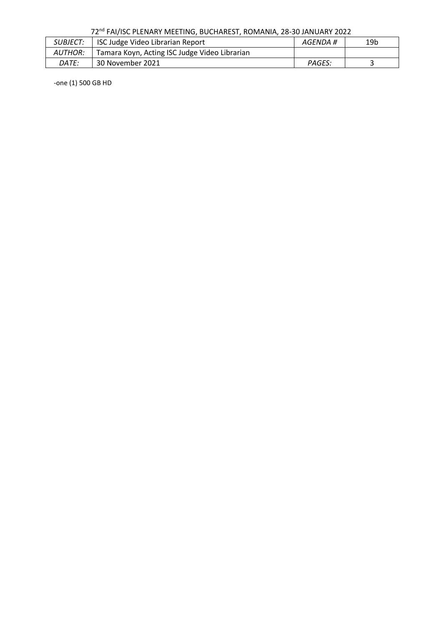| 72 <sup>nd</sup> FAI/ISC PLENARY MEETING, BUCHAREST, ROMANIA, 28-30 JANUARY 2022 |  |
|----------------------------------------------------------------------------------|--|
|----------------------------------------------------------------------------------|--|

| <i>SUBJECT:</i> | <b>ISC Judge Video Librarian Report</b>       | AGENDA # | 19b |
|-----------------|-----------------------------------------------|----------|-----|
| <i>AUTHOR:</i>  | Tamara Koyn, Acting ISC Judge Video Librarian |          |     |
| DATE:           | 30 November 2021                              | PAGES:   |     |

-one (1) 500 GB HD